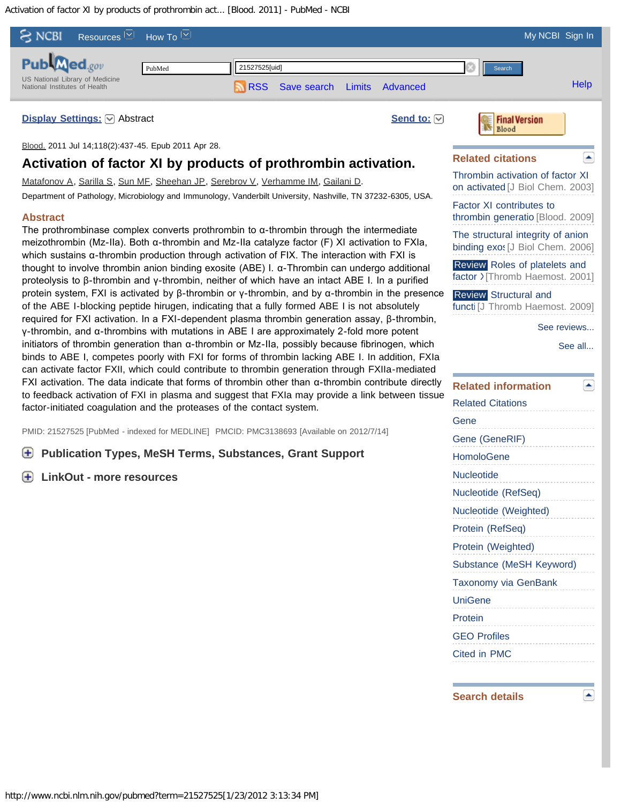<span id="page-0-0"></span>Activation of factor XI by products of prothrombin act... [Blood. 2011] - PubMed - NCBI



http://www.ncbi.nlm.nih.gov/pubmed?term=21527525[1/23/2012 3:13:34 PM]